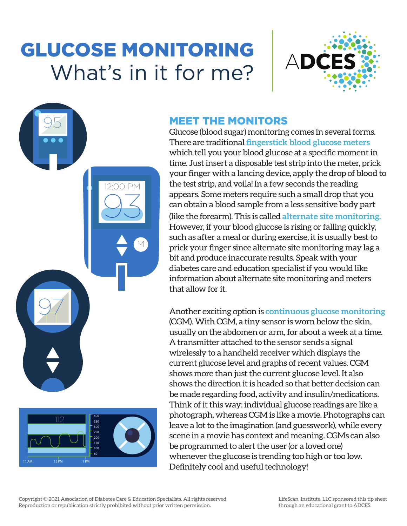# GLUCOSE MONITORING What's in it for me?

93

12:00 PM

M



#### MEET THE MONITORS

Glucose (blood sugar) monitoring comes in several forms. There are traditional **fingerstick blood glucose meters** which tell you your blood glucose at a specific moment in time. Just insert a disposable test strip into the meter, prick your finger with a lancing device, apply the drop of blood to the test strip, and voila! In a few seconds the reading appears. Some meters require such a small drop that you can obtain a blood sample from a less sensitive body part (like the forearm). This is called **alternate site monitoring.** However, if your blood glucose is rising or falling quickly, such as after a meal or during exercise, it is usually best to prick your finger since alternate site monitoring may lag a bit and produce inaccurate results. Speak with your diabetes care and education specialist if you would like information about alternate site monitoring and meters that allow for it.

Another exciting option is **continuous glucose monitoring** (CGM). With CGM, a tiny sensor is worn below the skin, usually on the abdomen or arm, for about a week at a time. A transmitter attached to the sensor sends a signal wirelessly to a handheld receiver which displays the current glucose level and graphs of recent values. CGM shows more than just the current glucose level. It also shows the direction it is headed so that better decision can be made regarding food, activity and insulin/medications. Think of it this way: individual glucose readings are like a photograph, whereas CGM is like a movie. Photographs can leave a lot to the imagination (and guesswork), while every scene in a movie has context and meaning. CGMs can also be programmed to alert the user (or a loved one) whenever the glucose is trending too high or too low. Definitely cool and useful technology!

97

112

95